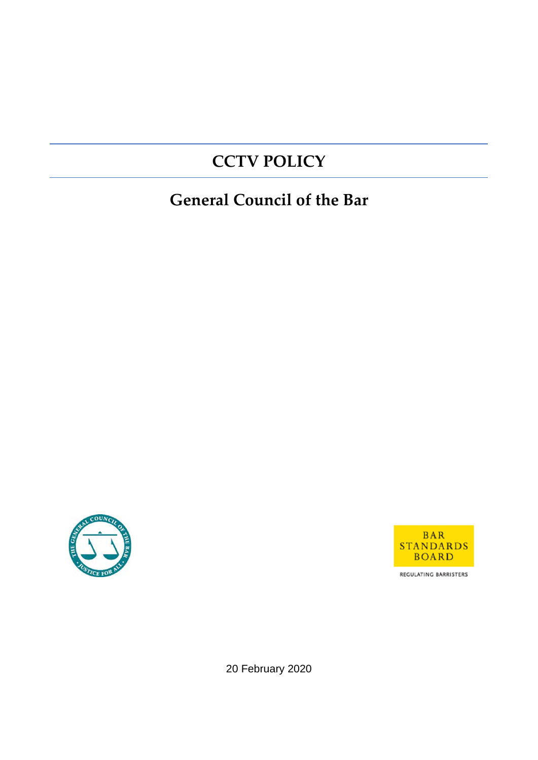# **CCTV POLICY**

# **General Council of the Bar**





REGULATING BARRISTERS

20 February 2020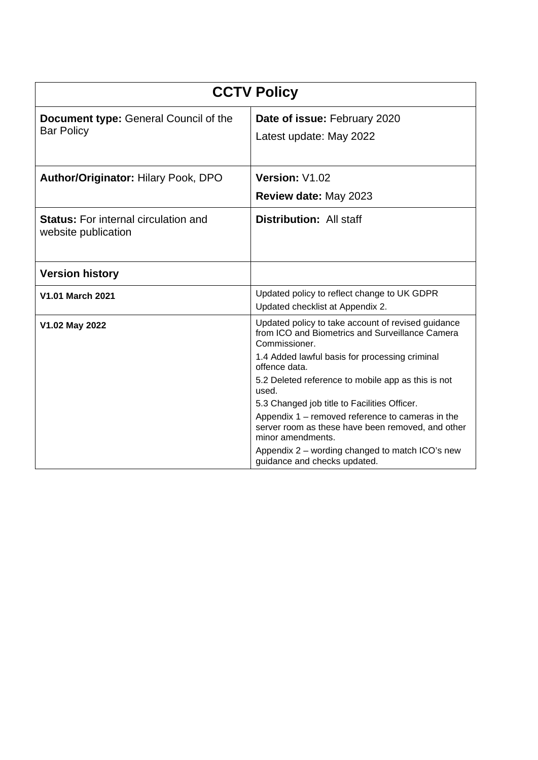| <b>CCTV Policy</b>                                                 |                                                                                                                                                                                                                                                                                                                                                                                                                                        |  |  |  |
|--------------------------------------------------------------------|----------------------------------------------------------------------------------------------------------------------------------------------------------------------------------------------------------------------------------------------------------------------------------------------------------------------------------------------------------------------------------------------------------------------------------------|--|--|--|
| <b>Document type: General Council of the</b><br><b>Bar Policy</b>  | Date of issue: February 2020<br>Latest update: May 2022                                                                                                                                                                                                                                                                                                                                                                                |  |  |  |
| Author/Originator: Hilary Pook, DPO                                | Version: V1.02<br>Review date: May 2023                                                                                                                                                                                                                                                                                                                                                                                                |  |  |  |
| <b>Status:</b> For internal circulation and<br>website publication | <b>Distribution: All staff</b>                                                                                                                                                                                                                                                                                                                                                                                                         |  |  |  |
| <b>Version history</b>                                             |                                                                                                                                                                                                                                                                                                                                                                                                                                        |  |  |  |
| <b>V1.01 March 2021</b>                                            | Updated policy to reflect change to UK GDPR<br>Updated checklist at Appendix 2.                                                                                                                                                                                                                                                                                                                                                        |  |  |  |
| V1.02 May 2022                                                     | Updated policy to take account of revised guidance<br>from ICO and Biometrics and Surveillance Camera<br>Commissioner.<br>1.4 Added lawful basis for processing criminal<br>offence data.<br>5.2 Deleted reference to mobile app as this is not<br>used.<br>5.3 Changed job title to Facilities Officer.<br>Appendix 1 – removed reference to cameras in the<br>server room as these have been removed, and other<br>minor amendments. |  |  |  |
|                                                                    | Appendix 2 – wording changed to match ICO's new<br>guidance and checks updated.                                                                                                                                                                                                                                                                                                                                                        |  |  |  |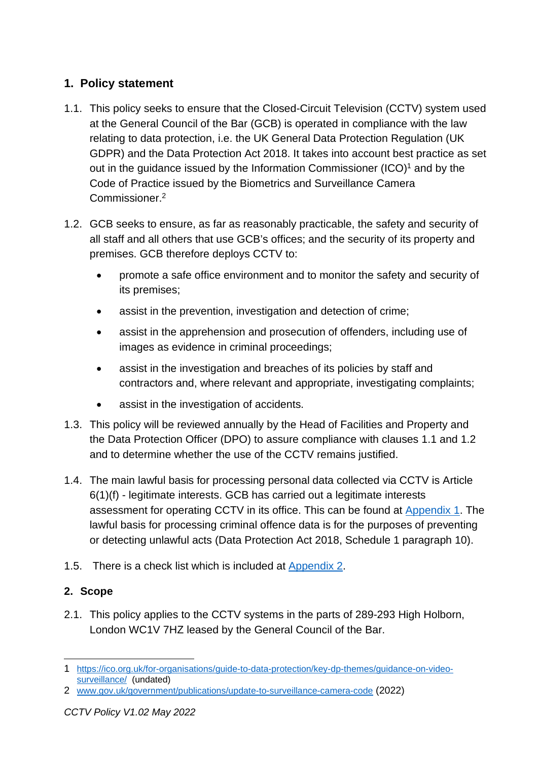# **1. Policy statement**

- 1.1. This policy seeks to ensure that the Closed-Circuit Television (CCTV) system used at the General Council of the Bar (GCB) is operated in compliance with the law relating to data protection, i.e. the UK General Data Protection Regulation (UK GDPR) and the Data Protection Act 2018. It takes into account best practice as set out in the guidance issued by the Information Commissioner  $(ICO)^1$  and by the Code of Practice issued by the Biometrics and Surveillance Camera Commissioner.<sup>2</sup>
- 1.2. GCB seeks to ensure, as far as reasonably practicable, the safety and security of all staff and all others that use GCB's offices; and the security of its property and premises. GCB therefore deploys CCTV to:
	- promote a safe office environment and to monitor the safety and security of its premises;
	- assist in the prevention, investigation and detection of crime;
	- assist in the apprehension and prosecution of offenders, including use of images as evidence in criminal proceedings;
	- assist in the investigation and breaches of its policies by staff and contractors and, where relevant and appropriate, investigating complaints;
	- assist in the investigation of accidents.
- 1.3. This policy will be reviewed annually by the Head of Facilities and Property and the Data Protection Officer (DPO) to assure compliance with clauses 1.1 and 1.2 and to determine whether the use of the CCTV remains justified.
- 1.4. The main lawful basis for processing personal data collected via CCTV is Article 6(1)(f) - legitimate interests. GCB has carried out a legitimate interests assessment for operating CCTV in its office. This can be found at Appendix 1. The lawful basis for processing criminal offence data is for the purposes of preventing or detecting unlawful acts (Data Protection Act 2018, Schedule 1 paragraph 10).
- 1.5. There is a check list which is included at Appendix 2.

# **2. Scope**

2.1. This policy applies to the CCTV systems in the parts of 289-293 High Holborn, London WC1V 7HZ leased by the General Council of the Bar.

<sup>1</sup> https://ico.org.uk/for-organisations/guide-to-data-protection/key-dp-themes/guidance-on-videosurveillance/ (undated)

<sup>2</sup> www.gov.uk/government/publications/update-to-surveillance-camera-code (2022)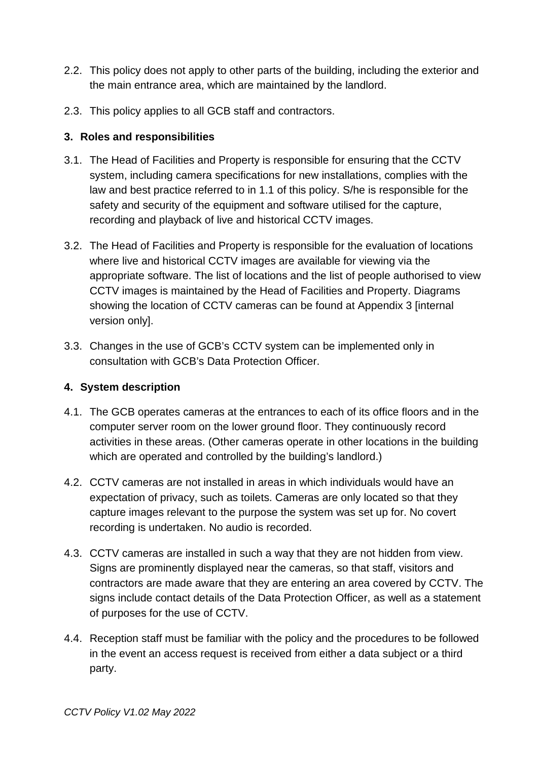- 2.2. This policy does not apply to other parts of the building, including the exterior and the main entrance area, which are maintained by the landlord.
- 2.3. This policy applies to all GCB staff and contractors.

#### **3. Roles and responsibilities**

- 3.1. The Head of Facilities and Property is responsible for ensuring that the CCTV system, including camera specifications for new installations, complies with the law and best practice referred to in 1.1 of this policy. S/he is responsible for the safety and security of the equipment and software utilised for the capture, recording and playback of live and historical CCTV images.
- 3.2. The Head of Facilities and Property is responsible for the evaluation of locations where live and historical CCTV images are available for viewing via the appropriate software. The list of locations and the list of people authorised to view CCTV images is maintained by the Head of Facilities and Property. Diagrams showing the location of CCTV cameras can be found at Appendix 3 [internal version only].
- 3.3. Changes in the use of GCB's CCTV system can be implemented only in consultation with GCB's Data Protection Officer.

#### **4. System description**

- 4.1. The GCB operates cameras at the entrances to each of its office floors and in the computer server room on the lower ground floor. They continuously record activities in these areas. (Other cameras operate in other locations in the building which are operated and controlled by the building's landlord.)
- 4.2. CCTV cameras are not installed in areas in which individuals would have an expectation of privacy, such as toilets. Cameras are only located so that they capture images relevant to the purpose the system was set up for. No covert recording is undertaken. No audio is recorded.
- 4.3. CCTV cameras are installed in such a way that they are not hidden from view. Signs are prominently displayed near the cameras, so that staff, visitors and contractors are made aware that they are entering an area covered by CCTV. The signs include contact details of the Data Protection Officer, as well as a statement of purposes for the use of CCTV.
- 4.4. Reception staff must be familiar with the policy and the procedures to be followed in the event an access request is received from either a data subject or a third party.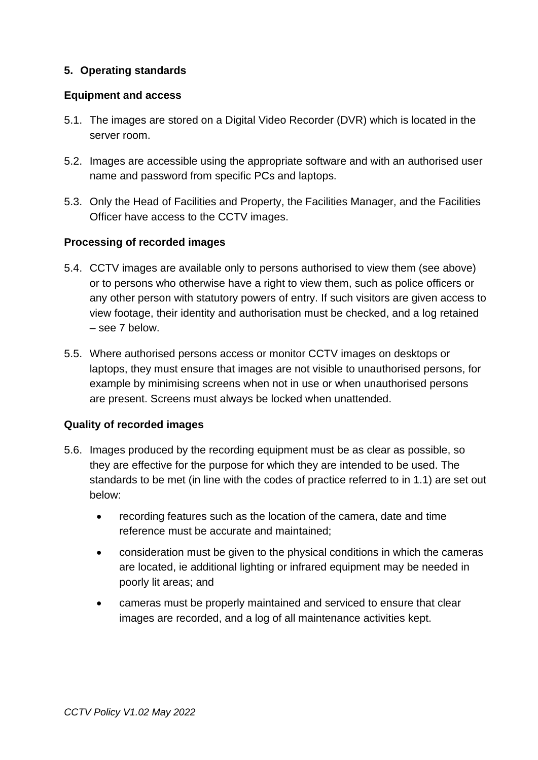### **5. Operating standards**

#### **Equipment and access**

- 5.1. The images are stored on a Digital Video Recorder (DVR) which is located in the server room.
- 5.2. Images are accessible using the appropriate software and with an authorised user name and password from specific PCs and laptops.
- 5.3. Only the Head of Facilities and Property, the Facilities Manager, and the Facilities Officer have access to the CCTV images.

#### **Processing of recorded images**

- 5.4. CCTV images are available only to persons authorised to view them (see above) or to persons who otherwise have a right to view them, such as police officers or any other person with statutory powers of entry. If such visitors are given access to view footage, their identity and authorisation must be checked, and a log retained – see 7 below.
- 5.5. Where authorised persons access or monitor CCTV images on desktops or laptops, they must ensure that images are not visible to unauthorised persons, for example by minimising screens when not in use or when unauthorised persons are present. Screens must always be locked when unattended.

#### **Quality of recorded images**

- 5.6. Images produced by the recording equipment must be as clear as possible, so they are effective for the purpose for which they are intended to be used. The standards to be met (in line with the codes of practice referred to in 1.1) are set out below:
	- recording features such as the location of the camera, date and time reference must be accurate and maintained;
	- consideration must be given to the physical conditions in which the cameras are located, ie additional lighting or infrared equipment may be needed in poorly lit areas; and
	- cameras must be properly maintained and serviced to ensure that clear images are recorded, and a log of all maintenance activities kept.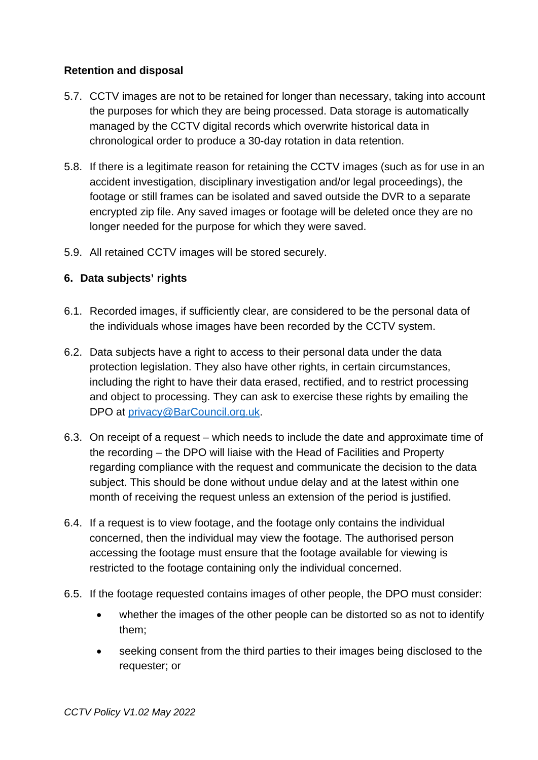## **Retention and disposal**

- 5.7. CCTV images are not to be retained for longer than necessary, taking into account the purposes for which they are being processed. Data storage is automatically managed by the CCTV digital records which overwrite historical data in chronological order to produce a 30-day rotation in data retention.
- 5.8. If there is a legitimate reason for retaining the CCTV images (such as for use in an accident investigation, disciplinary investigation and/or legal proceedings), the footage or still frames can be isolated and saved outside the DVR to a separate encrypted zip file. Any saved images or footage will be deleted once they are no longer needed for the purpose for which they were saved.
- 5.9. All retained CCTV images will be stored securely.

## **6. Data subjects' rights**

- 6.1. Recorded images, if sufficiently clear, are considered to be the personal data of the individuals whose images have been recorded by the CCTV system.
- 6.2. Data subjects have a right to access to their personal data under the data protection legislation. They also have other rights, in certain circumstances, including the right to have their data erased, rectified, and to restrict processing and object to processing. They can ask to exercise these rights by emailing the DPO at privacy@BarCouncil.org.uk.
- 6.3. On receipt of a request which needs to include the date and approximate time of the recording – the DPO will liaise with the Head of Facilities and Property regarding compliance with the request and communicate the decision to the data subject. This should be done without undue delay and at the latest within one month of receiving the request unless an extension of the period is justified.
- 6.4. If a request is to view footage, and the footage only contains the individual concerned, then the individual may view the footage. The authorised person accessing the footage must ensure that the footage available for viewing is restricted to the footage containing only the individual concerned.
- 6.5. If the footage requested contains images of other people, the DPO must consider:
	- whether the images of the other people can be distorted so as not to identify them;
	- seeking consent from the third parties to their images being disclosed to the requester; or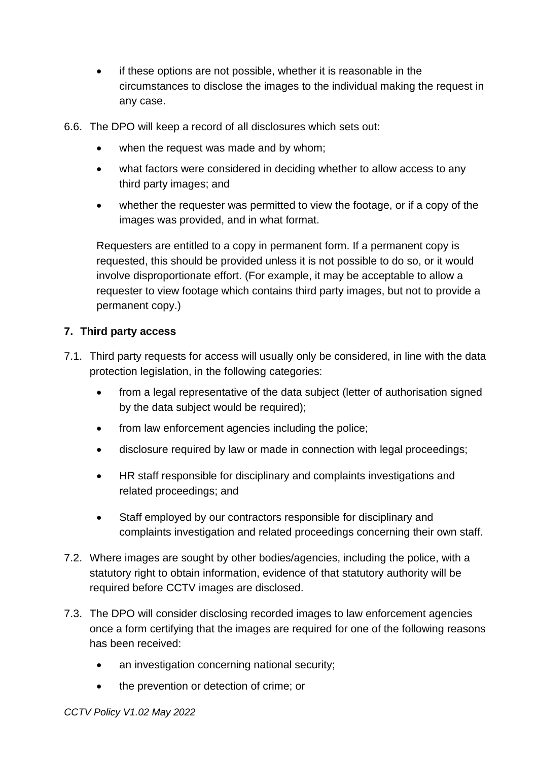- if these options are not possible, whether it is reasonable in the circumstances to disclose the images to the individual making the request in any case.
- 6.6. The DPO will keep a record of all disclosures which sets out:
	- when the request was made and by whom;
	- what factors were considered in deciding whether to allow access to any third party images; and
	- whether the requester was permitted to view the footage, or if a copy of the images was provided, and in what format.

Requesters are entitled to a copy in permanent form. If a permanent copy is requested, this should be provided unless it is not possible to do so, or it would involve disproportionate effort. (For example, it may be acceptable to allow a requester to view footage which contains third party images, but not to provide a permanent copy.)

## **7. Third party access**

- 7.1. Third party requests for access will usually only be considered, in line with the data protection legislation, in the following categories:
	- from a legal representative of the data subiect (letter of authorisation signed by the data subject would be required);
	- from law enforcement agencies including the police;
	- disclosure required by law or made in connection with legal proceedings;
	- HR staff responsible for disciplinary and complaints investigations and related proceedings; and
	- Staff employed by our contractors responsible for disciplinary and complaints investigation and related proceedings concerning their own staff.
- 7.2. Where images are sought by other bodies/agencies, including the police, with a statutory right to obtain information, evidence of that statutory authority will be required before CCTV images are disclosed.
- 7.3. The DPO will consider disclosing recorded images to law enforcement agencies once a form certifying that the images are required for one of the following reasons has been received:
	- an investigation concerning national security;
	- the prevention or detection of crime; or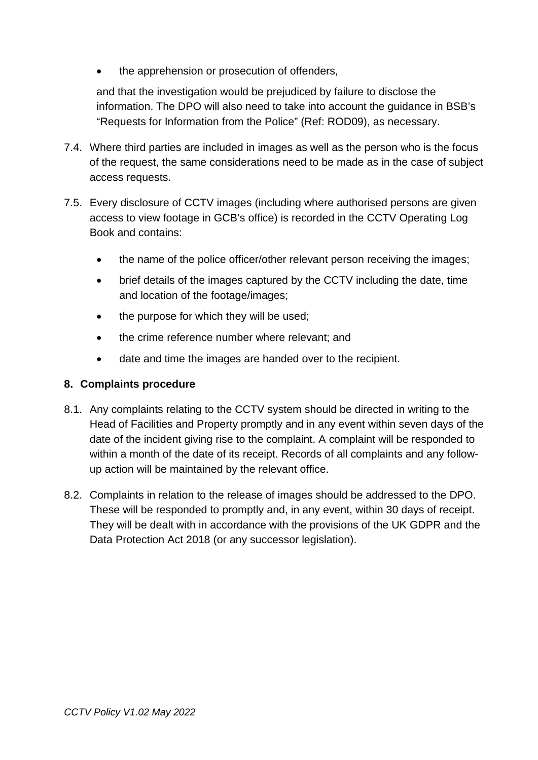the apprehension or prosecution of offenders,

and that the investigation would be prejudiced by failure to disclose the information. The DPO will also need to take into account the guidance in BSB's "Requests for Information from the Police" (Ref: ROD09), as necessary.

- 7.4. Where third parties are included in images as well as the person who is the focus of the request, the same considerations need to be made as in the case of subject access requests.
- 7.5. Every disclosure of CCTV images (including where authorised persons are given access to view footage in GCB's office) is recorded in the CCTV Operating Log Book and contains:
	- the name of the police officer/other relevant person receiving the images;
	- brief details of the images captured by the CCTV including the date, time and location of the footage/images;
	- the purpose for which they will be used;
	- the crime reference number where relevant; and
	- date and time the images are handed over to the recipient.

### **8. Complaints procedure**

- 8.1. Any complaints relating to the CCTV system should be directed in writing to the Head of Facilities and Property promptly and in any event within seven days of the date of the incident giving rise to the complaint. A complaint will be responded to within a month of the date of its receipt. Records of all complaints and any followup action will be maintained by the relevant office.
- 8.2. Complaints in relation to the release of images should be addressed to the DPO. These will be responded to promptly and, in any event, within 30 days of receipt. They will be dealt with in accordance with the provisions of the UK GDPR and the Data Protection Act 2018 (or any successor legislation).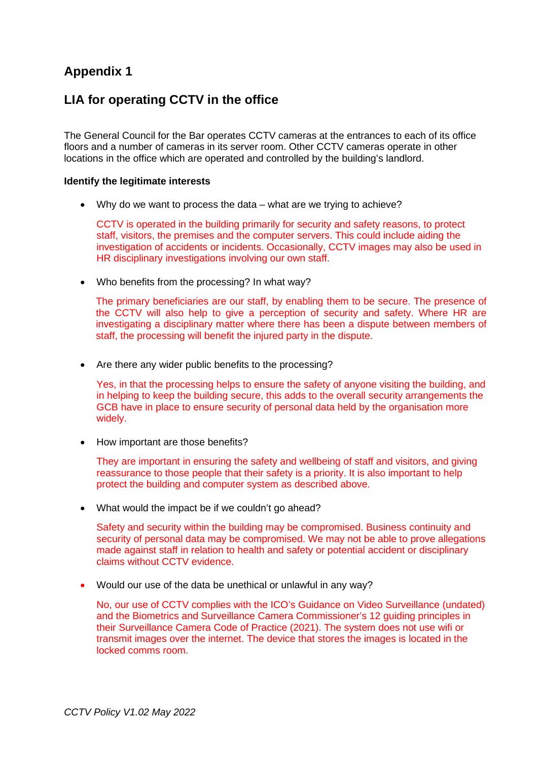# **Appendix 1**

## **LIA for operating CCTV in the office**

The General Council for the Bar operates CCTV cameras at the entrances to each of its office floors and a number of cameras in its server room. Other CCTV cameras operate in other locations in the office which are operated and controlled by the building's landlord.

#### **Identify the legitimate interests**

Why do we want to process the data – what are we trying to achieve?

CCTV is operated in the building primarily for security and safety reasons, to protect staff, visitors, the premises and the computer servers. This could include aiding the investigation of accidents or incidents. Occasionally, CCTV images may also be used in HR disciplinary investigations involving our own staff.

Who benefits from the processing? In what way?

The primary beneficiaries are our staff, by enabling them to be secure. The presence of the CCTV will also help to give a perception of security and safety. Where HR are investigating a disciplinary matter where there has been a dispute between members of staff, the processing will benefit the injured party in the dispute.

• Are there any wider public benefits to the processing?

Yes, in that the processing helps to ensure the safety of anyone visiting the building, and in helping to keep the building secure, this adds to the overall security arrangements the GCB have in place to ensure security of personal data held by the organisation more widely.

• How important are those benefits?

They are important in ensuring the safety and wellbeing of staff and visitors, and giving reassurance to those people that their safety is a priority. It is also important to help protect the building and computer system as described above.

• What would the impact be if we couldn't go ahead?

Safety and security within the building may be compromised. Business continuity and security of personal data may be compromised. We may not be able to prove allegations made against staff in relation to health and safety or potential accident or disciplinary claims without CCTV evidence.

Would our use of the data be unethical or unlawful in any way?

No, our use of CCTV complies with the ICO's Guidance on Video Surveillance (undated) and the Biometrics and Surveillance Camera Commissioner's 12 guiding principles in their Surveillance Camera Code of Practice (2021). The system does not use wifi or transmit images over the internet. The device that stores the images is located in the locked comms room.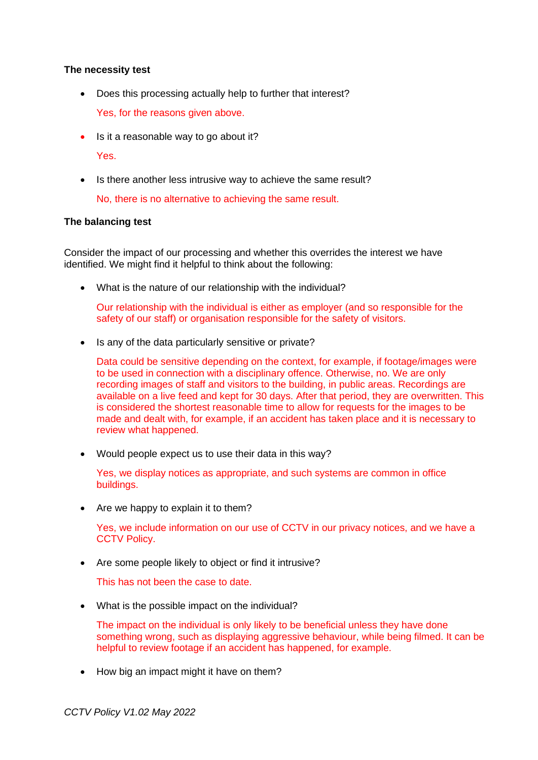#### **The necessity test**

Does this processing actually help to further that interest?

Yes, for the reasons given above.

• Is it a reasonable way to go about it?

Yes.

• Is there another less intrusive way to achieve the same result?

No, there is no alternative to achieving the same result.

#### **The balancing test**

Consider the impact of our processing and whether this overrides the interest we have identified. We might find it helpful to think about the following:

What is the nature of our relationship with the individual?

Our relationship with the individual is either as employer (and so responsible for the safety of our staff) or organisation responsible for the safety of visitors.

• Is any of the data particularly sensitive or private?

Data could be sensitive depending on the context, for example, if footage/images were to be used in connection with a disciplinary offence. Otherwise, no. We are only recording images of staff and visitors to the building, in public areas. Recordings are available on a live feed and kept for 30 days. After that period, they are overwritten. This is considered the shortest reasonable time to allow for requests for the images to be made and dealt with, for example, if an accident has taken place and it is necessary to review what happened.

Would people expect us to use their data in this way?

Yes, we display notices as appropriate, and such systems are common in office buildings.

• Are we happy to explain it to them?

Yes, we include information on our use of CCTV in our privacy notices, and we have a **CCTV Policy.** 

Are some people likely to object or find it intrusive?

This has not been the case to date.

• What is the possible impact on the individual?

The impact on the individual is only likely to be beneficial unless they have done something wrong, such as displaying aggressive behaviour, while being filmed. It can be helpful to review footage if an accident has happened, for example.

• How big an impact might it have on them?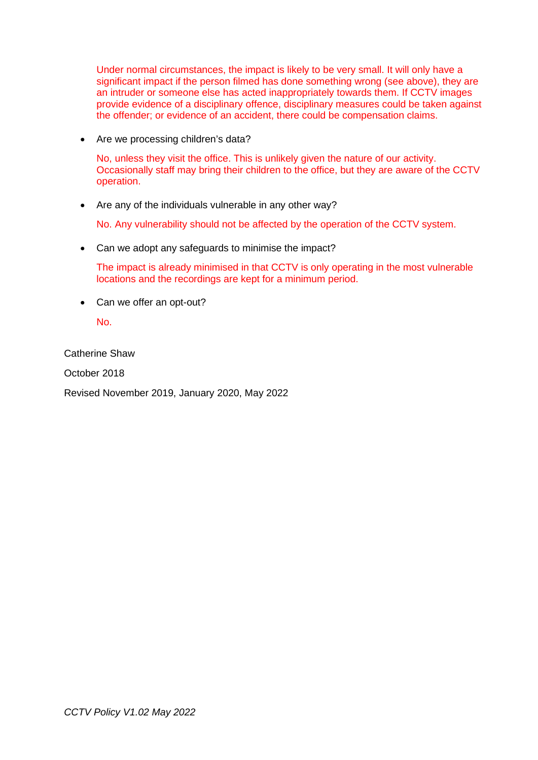Under normal circumstances, the impact is likely to be very small. It will only have a significant impact if the person filmed has done something wrong (see above), they are an intruder or someone else has acted inappropriately towards them. If CCTV images provide evidence of a disciplinary offence, disciplinary measures could be taken against the offender; or evidence of an accident, there could be compensation claims.

• Are we processing children's data?

No, unless they visit the office. This is unlikely given the nature of our activity. Occasionally staff may bring their children to the office, but they are aware of the CCTV operation.

• Are any of the individuals vulnerable in any other way?

No. Any vulnerability should not be affected by the operation of the CCTV system.

Can we adopt any safeguards to minimise the impact?

The impact is already minimised in that CCTV is only operating in the most vulnerable locations and the recordings are kept for a minimum period.

• Can we offer an opt-out?

No.

Catherine Shaw

October 2018

Revised November 2019, January 2020, May 2022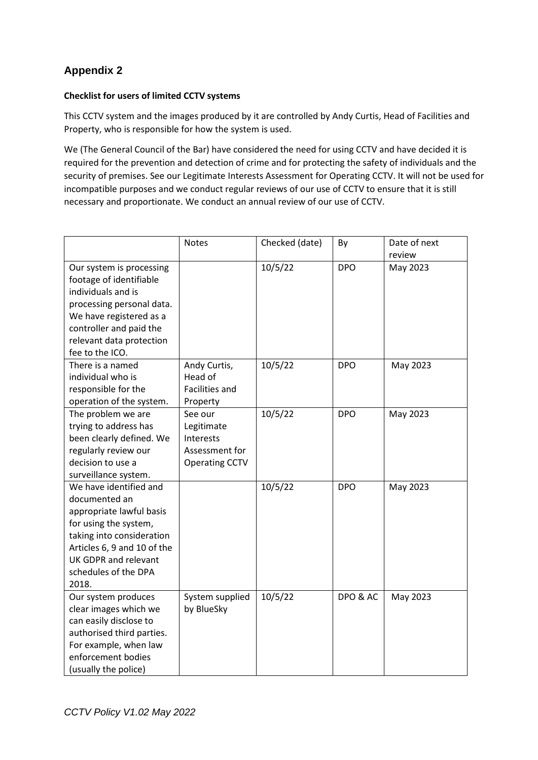# **Appendix 2**

#### **Checklist for users of limited CCTV systems**

This CCTV system and the images produced by it are controlled by Andy Curtis, Head of Facilities and Property, who is responsible for how the system is used.

We (The General Council of the Bar) have considered the need for using CCTV and have decided it is required for the prevention and detection of crime and for protecting the safety of individuals and the security of premises. See our Legitimate Interests Assessment for Operating CCTV. It will not be used for incompatible purposes and we conduct regular reviews of our use of CCTV to ensure that it is still necessary and proportionate. We conduct an annual review of our use of CCTV.

|                                                                                                                                                                                                                   | <b>Notes</b>                                                                  | Checked (date) | By         | Date of next<br>review |
|-------------------------------------------------------------------------------------------------------------------------------------------------------------------------------------------------------------------|-------------------------------------------------------------------------------|----------------|------------|------------------------|
| Our system is processing<br>footage of identifiable<br>individuals and is<br>processing personal data.<br>We have registered as a<br>controller and paid the<br>relevant data protection<br>fee to the ICO.       |                                                                               | 10/5/22        | <b>DPO</b> | May 2023               |
| There is a named<br>individual who is<br>responsible for the<br>operation of the system.                                                                                                                          | Andy Curtis,<br>Head of<br>Facilities and<br>Property                         | 10/5/22        | <b>DPO</b> | May 2023               |
| The problem we are<br>trying to address has<br>been clearly defined. We<br>regularly review our<br>decision to use a<br>surveillance system.                                                                      | See our<br>Legitimate<br>Interests<br>Assessment for<br><b>Operating CCTV</b> | 10/5/22        | <b>DPO</b> | May 2023               |
| We have identified and<br>documented an<br>appropriate lawful basis<br>for using the system,<br>taking into consideration<br>Articles 6, 9 and 10 of the<br>UK GDPR and relevant<br>schedules of the DPA<br>2018. |                                                                               | 10/5/22        | <b>DPO</b> | May 2023               |
| Our system produces<br>clear images which we<br>can easily disclose to<br>authorised third parties.<br>For example, when law<br>enforcement bodies<br>(usually the police)                                        | System supplied<br>by BlueSky                                                 | 10/5/22        | DPO & AC   | May 2023               |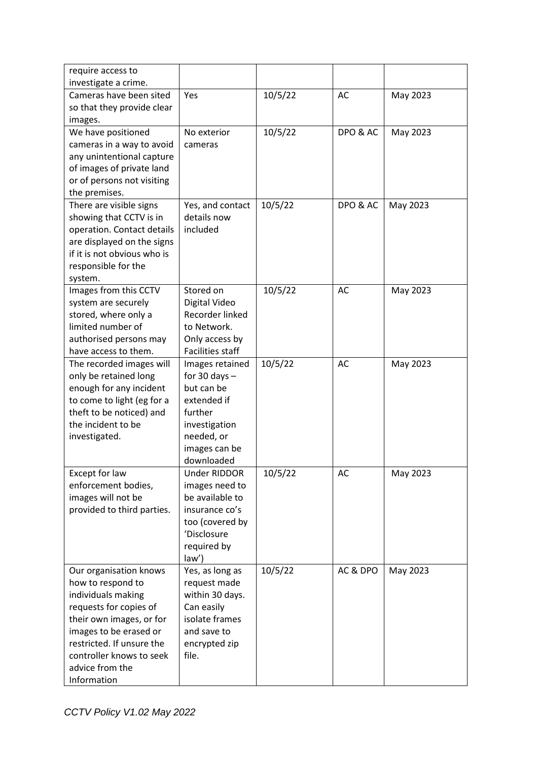| require access to<br>investigate a crime. |                         |         |          |          |
|-------------------------------------------|-------------------------|---------|----------|----------|
| Cameras have been sited                   | Yes                     | 10/5/22 | AC       | May 2023 |
|                                           |                         |         |          |          |
| so that they provide clear                |                         |         |          |          |
| images.                                   |                         |         |          |          |
| We have positioned                        | No exterior             | 10/5/22 | DPO & AC | May 2023 |
| cameras in a way to avoid                 | cameras                 |         |          |          |
| any unintentional capture                 |                         |         |          |          |
| of images of private land                 |                         |         |          |          |
| or of persons not visiting                |                         |         |          |          |
| the premises.                             |                         |         |          |          |
| There are visible signs                   | Yes, and contact        | 10/5/22 | DPO & AC | May 2023 |
| showing that CCTV is in                   | details now             |         |          |          |
| operation. Contact details                | included                |         |          |          |
| are displayed on the signs                |                         |         |          |          |
| if it is not obvious who is               |                         |         |          |          |
| responsible for the                       |                         |         |          |          |
| system.                                   |                         |         |          |          |
| Images from this CCTV                     | Stored on               | 10/5/22 | AC       | May 2023 |
| system are securely                       | Digital Video           |         |          |          |
| stored, where only a                      | Recorder linked         |         |          |          |
| limited number of                         | to Network.             |         |          |          |
| authorised persons may                    | Only access by          |         |          |          |
| have access to them.                      | <b>Facilities staff</b> |         |          |          |
| The recorded images will                  | Images retained         | 10/5/22 | AC       | May 2023 |
| only be retained long                     | for 30 days $-$         |         |          |          |
| enough for any incident                   | but can be              |         |          |          |
| to come to light (eg for a                | extended if             |         |          |          |
| theft to be noticed) and                  | further                 |         |          |          |
| the incident to be                        | investigation           |         |          |          |
| investigated.                             | needed, or              |         |          |          |
|                                           | images can be           |         |          |          |
|                                           | downloaded              |         |          |          |
| Except for law                            | Under RIDDOR            | 10/5/22 | AC       | May 2023 |
| enforcement bodies,                       | images need to          |         |          |          |
| images will not be                        | be available to         |         |          |          |
| provided to third parties.                | insurance co's          |         |          |          |
|                                           | too (covered by         |         |          |          |
|                                           | 'Disclosure             |         |          |          |
|                                           | required by             |         |          |          |
|                                           | law')                   |         |          |          |
| Our organisation knows                    | Yes, as long as         | 10/5/22 | AC & DPO | May 2023 |
| how to respond to                         | request made            |         |          |          |
| individuals making                        | within 30 days.         |         |          |          |
| requests for copies of                    | Can easily              |         |          |          |
| their own images, or for                  | isolate frames          |         |          |          |
| images to be erased or                    | and save to             |         |          |          |
| restricted. If unsure the                 | encrypted zip           |         |          |          |
| controller knows to seek                  | file.                   |         |          |          |
| advice from the                           |                         |         |          |          |
| Information                               |                         |         |          |          |